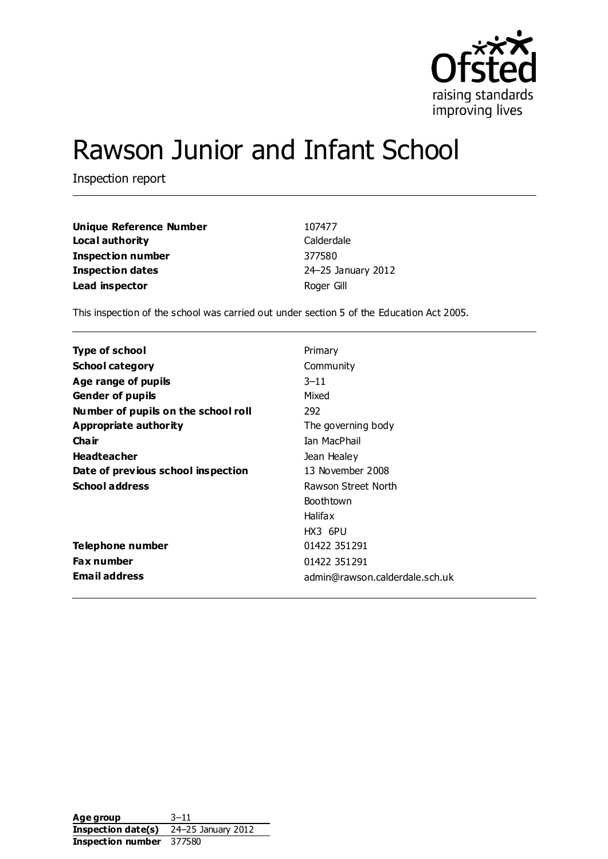

# Rawson Junior and Infant School

Inspection report

| <b>Unique Reference Number</b> | 107477             |
|--------------------------------|--------------------|
| Local authority                | Calderdale         |
| Inspection number              | 377580             |
| <b>Inspection dates</b>        | 24-25 January 2012 |
| Lead inspector                 | Roger Gill         |

This inspection of the school was carried out under section 5 of the Education Act 2005.

| Type of school                      | Primary                        |
|-------------------------------------|--------------------------------|
| <b>School category</b>              | Community                      |
| Age range of pupils                 | $3 - 11$                       |
| <b>Gender of pupils</b>             | Mixed                          |
| Number of pupils on the school roll | 292                            |
| Appropriate authority               | The governing body             |
| Cha ir                              | Tan MacPhail                   |
| <b>Headteacher</b>                  | Jean Healey                    |
| Date of previous school inspection  | 13 November 2008               |
| <b>School address</b>               | Rawson Street North            |
|                                     | <b>Boothtown</b>               |
|                                     | <b>Halifax</b>                 |
|                                     | HX3 6PU                        |
| Telephone number                    | 01422 351 291                  |
| <b>Fax number</b>                   | 01422 351291                   |
| Email address                       | admin@rawson.calderdale.sch.uk |

Age group 3-11 **Inspection date(s)** 24–25 January 2012 **Inspection number** 377580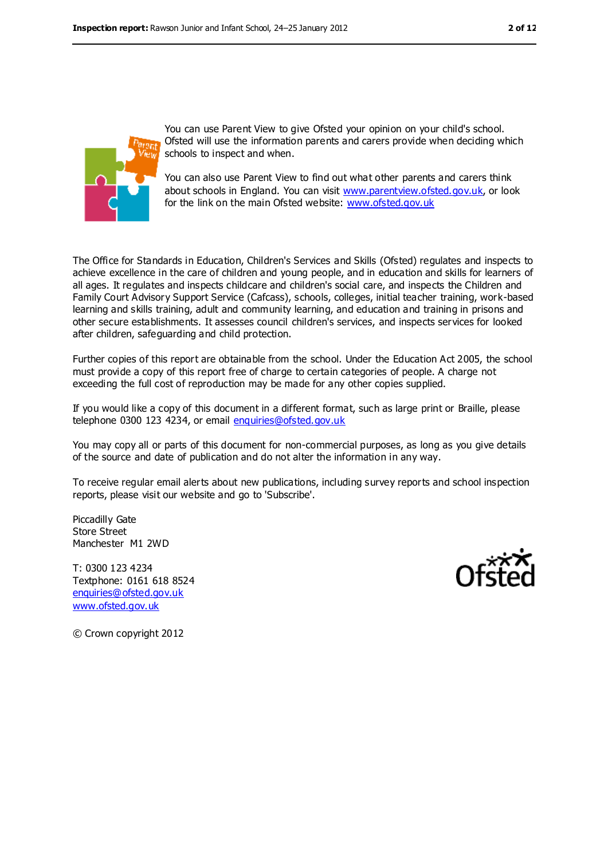

You can use Parent View to give Ofsted your opinion on your child's school. Ofsted will use the information parents and carers provide when deciding which schools to inspect and when.

You can also use Parent View to find out what other parents and carers think about schools in England. You can visit [www.parentview.ofsted.gov.uk,](../../../Local%20Settings/Local%20Settings/Temporary%20Internet%20Files/Content.IE5/OJQWDTPP/www.parentview.ofsted.gov.uk) or look for the link on the main Ofsted website: [www.ofsted.gov.uk](../../../Local%20Settings/Local%20Settings/Temporary%20Internet%20Files/Content.IE5/OJQWDTPP/www.ofsted.gov.uk)

The Office for Standards in Education, Children's Services and Skills (Ofsted) regulates and inspects to achieve excellence in the care of children and young people, and in education and skills for learners of all ages. It regulates and inspects childcare and children's social care, and inspects the Children and Family Court Advisory Support Service (Cafcass), schools, colleges, initial teacher training, work-based learning and skills training, adult and community learning, and education and training in prisons and other secure establishments. It assesses council children's services, and inspects services for looked after children, safeguarding and child protection.

Further copies of this report are obtainable from the school. Under the Education Act 2005, the school must provide a copy of this report free of charge to certain categories of people. A charge not exceeding the full cost of reproduction may be made for any other copies supplied.

If you would like a copy of this document in a different format, such as large print or Braille, please telephone 0300 123 4234, or email [enquiries@ofsted.gov.uk](mailto:enquiries@ofsted.gov.uk)

You may copy all or parts of this document for non-commercial purposes, as long as you give details of the source and date of publication and do not alter the information in any way.

To receive regular email alerts about new publications, including survey reports and school inspection reports, please visit our website and go to 'Subscribe'.

Piccadilly Gate Store Street Manchester M1 2WD

T: 0300 123 4234 Textphone: 0161 618 8524 [enquiries@ofsted.gov.uk](mailto:enquiries@ofsted.gov.uk) [www.ofsted.gov.uk](http://www.ofsted.gov.uk)



© Crown copyright 2012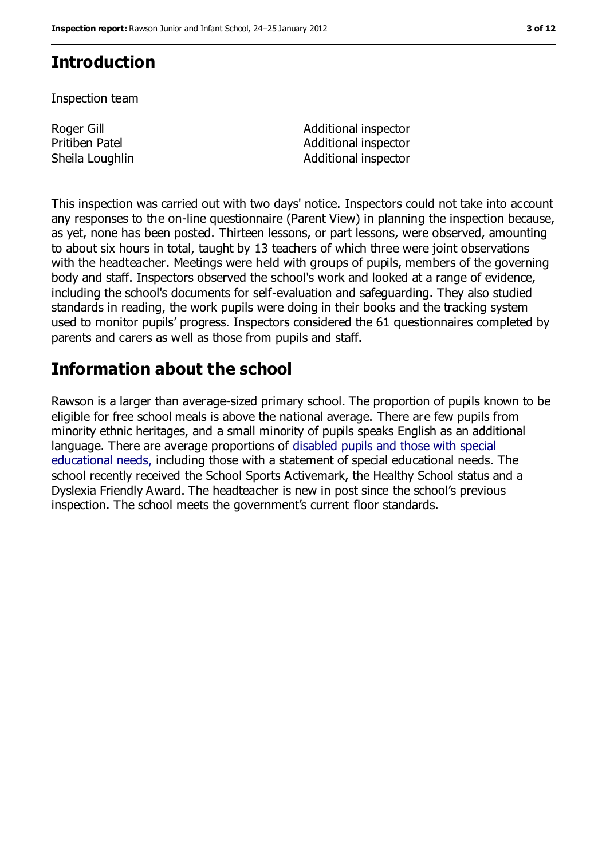# **Introduction**

Inspection team

Roger Gill Pritiben Patel

Additional inspector Additional inspector Sheila Loughlin **Additional inspector** 

This inspection was carried out with two days' notice. Inspectors could not take into account any responses to the on-line questionnaire (Parent View) in planning the inspection because, as yet, none has been posted. Thirteen lessons, or part lessons, were observed, amounting to about six hours in total, taught by 13 teachers of which three were joint observations with the headteacher. Meetings were held with groups of pupils, members of the governing body and staff. Inspectors observed the school's work and looked at a range of evidence, including the school's documents for self-evaluation and safeguarding. They also studied standards in reading, the work pupils were doing in their books and the tracking system used to monitor pupils' progress. Inspectors considered the 61 questionnaires completed by parents and carers as well as those from pupils and staff.

# **Information about the school**

Rawson is a larger than average-sized primary school. The proportion of pupils known to be eligible for free school meals is above the national average. There are few pupils from minority ethnic heritages, and a small minority of pupils speaks English as an additional language. There are average proportions of disabled pupils and those with special educational needs, including those with a statement of special educational needs. The school recently received the School Sports Activemark, the Healthy School status and a Dyslexia Friendly Award. The headteacher is new in post since the school's previous inspection. The school meets the government's current floor standards.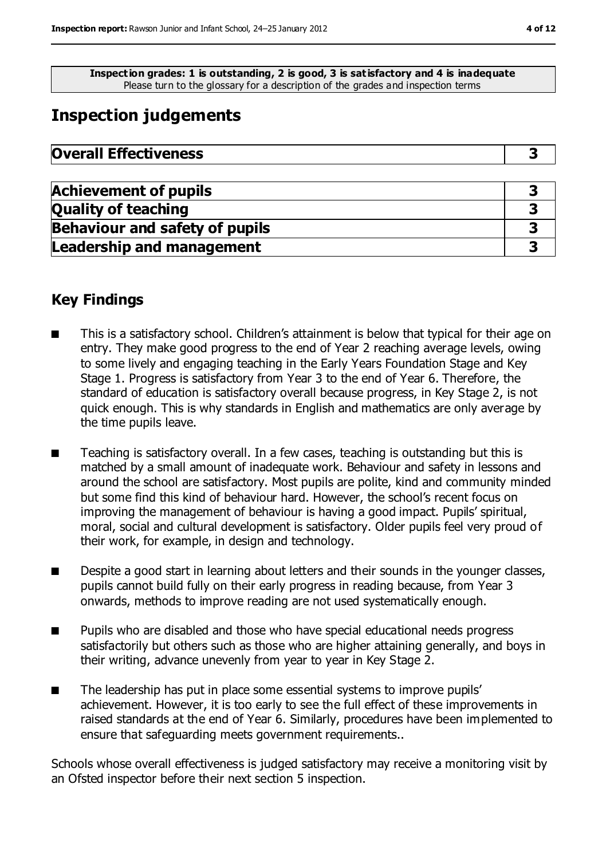**Inspection grades: 1 is outstanding, 2 is good, 3 is satisfactory and 4 is inadequate** Please turn to the glossary for a description of the grades and inspection terms

# **Inspection judgements**

| <b>Overall Effectiveness</b> |  |
|------------------------------|--|
|------------------------------|--|

| <b>Achievement of pupils</b>          |  |
|---------------------------------------|--|
| <b>Quality of teaching</b>            |  |
| <b>Behaviour and safety of pupils</b> |  |
| <b>Leadership and management</b>      |  |

### **Key Findings**

- This is a satisfactory school. Children's attainment is below that typical for their age on entry. They make good progress to the end of Year 2 reaching average levels, owing to some lively and engaging teaching in the Early Years Foundation Stage and Key Stage 1. Progress is satisfactory from Year 3 to the end of Year 6. Therefore, the standard of education is satisfactory overall because progress, in Key Stage 2, is not quick enough. This is why standards in English and mathematics are only average by the time pupils leave.
- Teaching is satisfactory overall. In a few cases, teaching is outstanding but this is matched by a small amount of inadequate work. Behaviour and safety in lessons and around the school are satisfactory. Most pupils are polite, kind and community minded but some find this kind of behaviour hard. However, the school's recent focus on improving the management of behaviour is having a good impact. Pupils' spiritual, moral, social and cultural development is satisfactory. Older pupils feel very proud of their work, for example, in design and technology.
- Despite a good start in learning about letters and their sounds in the younger classes, pupils cannot build fully on their early progress in reading because, from Year 3 onwards, methods to improve reading are not used systematically enough.
- Pupils who are disabled and those who have special educational needs progress satisfactorily but others such as those who are higher attaining generally, and boys in their writing, advance unevenly from year to year in Key Stage 2.
- The leadership has put in place some essential systems to improve pupils' achievement. However, it is too early to see the full effect of these improvements in raised standards at the end of Year 6. Similarly, procedures have been implemented to ensure that safeguarding meets government requirements..

Schools whose overall effectiveness is judged satisfactory may receive a monitoring visit by an Ofsted inspector before their next section 5 inspection.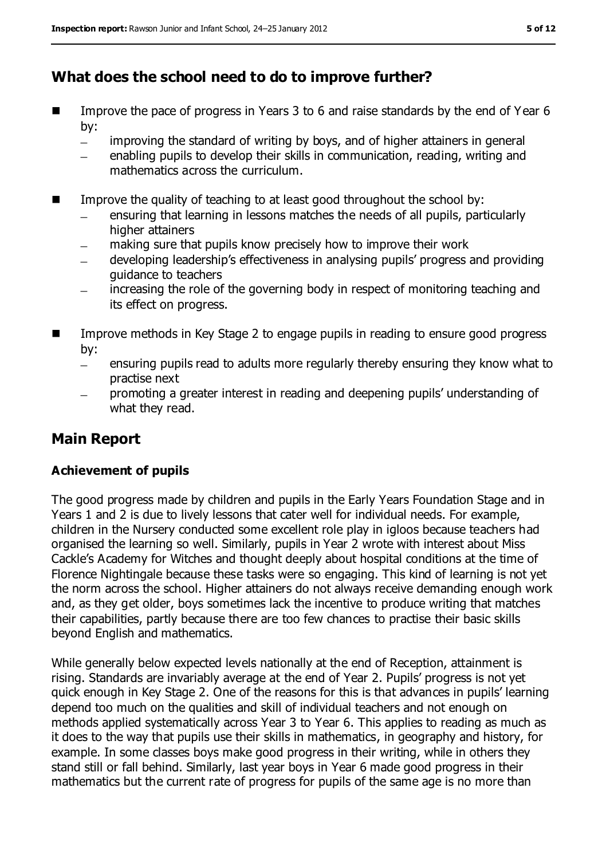### **What does the school need to do to improve further?**

- Improve the pace of progress in Years 3 to 6 and raise standards by the end of Year 6 by:
	- improving the standard of writing by boys, and of higher attainers in general  $\equiv$
	- enabling pupils to develop their skills in communication, reading, writing and  $\equiv$ mathematics across the curriculum.
- Improve the quality of teaching to at least good throughout the school by:
	- ensuring that learning in lessons matches the needs of all pupils, particularly higher attainers
	- making sure that pupils know precisely how to improve their work
	- developing leadership's effectiveness in analysing pupils' progress and providing guidance to teachers
	- increasing the role of the governing body in respect of monitoring teaching and  $\equiv$ its effect on progress.
- Improve methods in Key Stage 2 to engage pupils in reading to ensure good progress by:
	- ensuring pupils read to adults more regularly thereby ensuring they know what to  $\equiv$ practise next
	- promoting a greater interest in reading and deepening pupils' understanding of what they read.

## **Main Report**

#### **Achievement of pupils**

The good progress made by children and pupils in the Early Years Foundation Stage and in Years 1 and 2 is due to lively lessons that cater well for individual needs. For example, children in the Nursery conducted some excellent role play in igloos because teachers had organised the learning so well. Similarly, pupils in Year 2 wrote with interest about Miss Cackle's Academy for Witches and thought deeply about hospital conditions at the time of Florence Nightingale because these tasks were so engaging. This kind of learning is not yet the norm across the school. Higher attainers do not always receive demanding enough work and, as they get older, boys sometimes lack the incentive to produce writing that matches their capabilities, partly because there are too few chances to practise their basic skills beyond English and mathematics.

While generally below expected levels nationally at the end of Reception, attainment is rising. Standards are invariably average at the end of Year 2. Pupils' progress is not yet quick enough in Key Stage 2. One of the reasons for this is that advances in pupils' learning depend too much on the qualities and skill of individual teachers and not enough on methods applied systematically across Year 3 to Year 6. This applies to reading as much as it does to the way that pupils use their skills in mathematics, in geography and history, for example. In some classes boys make good progress in their writing, while in others they stand still or fall behind. Similarly, last year boys in Year 6 made good progress in their mathematics but the current rate of progress for pupils of the same age is no more than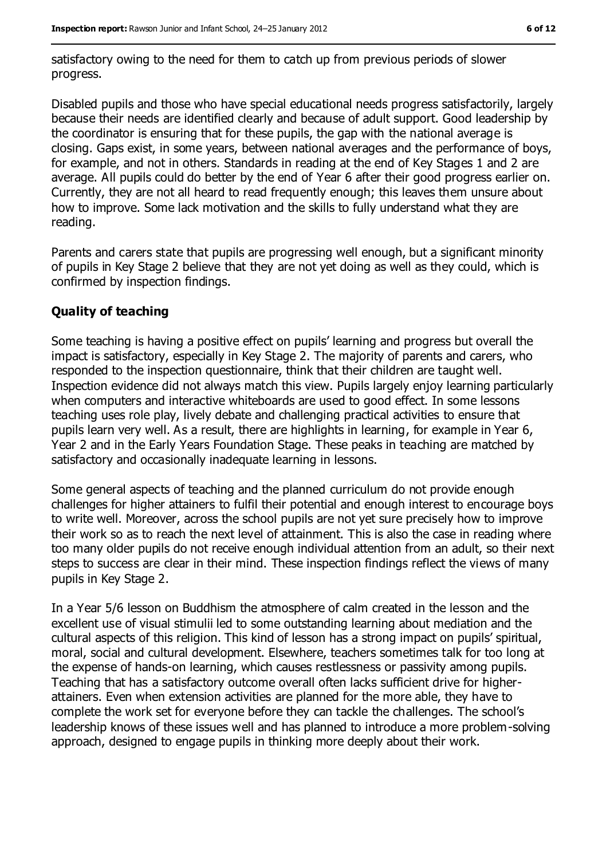satisfactory owing to the need for them to catch up from previous periods of slower progress.

Disabled pupils and those who have special educational needs progress satisfactorily, largely because their needs are identified clearly and because of adult support. Good leadership by the coordinator is ensuring that for these pupils, the gap with the national average is closing. Gaps exist, in some years, between national averages and the performance of boys, for example, and not in others. Standards in reading at the end of Key Stages 1 and 2 are average. All pupils could do better by the end of Year 6 after their good progress earlier on. Currently, they are not all heard to read frequently enough; this leaves them unsure about how to improve. Some lack motivation and the skills to fully understand what they are reading.

Parents and carers state that pupils are progressing well enough, but a significant minority of pupils in Key Stage 2 believe that they are not yet doing as well as they could, which is confirmed by inspection findings.

#### **Quality of teaching**

Some teaching is having a positive effect on pupils' learning and progress but overall the impact is satisfactory, especially in Key Stage 2. The majority of parents and carers, who responded to the inspection questionnaire, think that their children are taught well. Inspection evidence did not always match this view. Pupils largely enjoy learning particularly when computers and interactive whiteboards are used to good effect. In some lessons teaching uses role play, lively debate and challenging practical activities to ensure that pupils learn very well. As a result, there are highlights in learning, for example in Year 6, Year 2 and in the Early Years Foundation Stage. These peaks in teaching are matched by satisfactory and occasionally inadequate learning in lessons.

Some general aspects of teaching and the planned curriculum do not provide enough challenges for higher attainers to fulfil their potential and enough interest to encourage boys to write well. Moreover, across the school pupils are not yet sure precisely how to improve their work so as to reach the next level of attainment. This is also the case in reading where too many older pupils do not receive enough individual attention from an adult, so their next steps to success are clear in their mind. These inspection findings reflect the views of many pupils in Key Stage 2.

In a Year 5/6 lesson on Buddhism the atmosphere of calm created in the lesson and the excellent use of visual stimulii led to some outstanding learning about mediation and the cultural aspects of this religion. This kind of lesson has a strong impact on pupils' spiritual, moral, social and cultural development. Elsewhere, teachers sometimes talk for too long at the expense of hands-on learning, which causes restlessness or passivity among pupils. Teaching that has a satisfactory outcome overall often lacks sufficient drive for higherattainers. Even when extension activities are planned for the more able, they have to complete the work set for everyone before they can tackle the challenges. The school's leadership knows of these issues well and has planned to introduce a more problem-solving approach, designed to engage pupils in thinking more deeply about their work.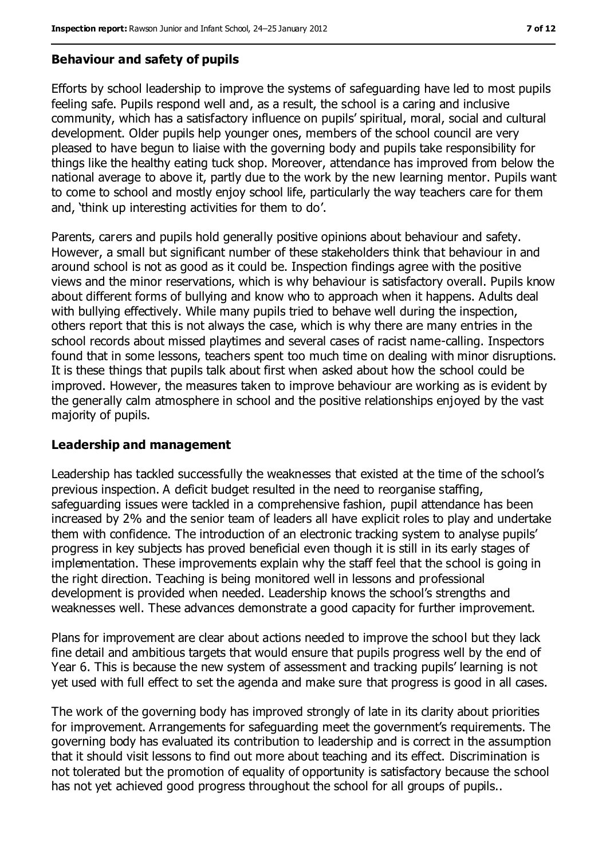#### **Behaviour and safety of pupils**

Efforts by school leadership to improve the systems of safeguarding have led to most pupils feeling safe. Pupils respond well and, as a result, the school is a caring and inclusive community, which has a satisfactory influence on pupils' spiritual, moral, social and cultural development. Older pupils help younger ones, members of the school council are very pleased to have begun to liaise with the governing body and pupils take responsibility for things like the healthy eating tuck shop. Moreover, attendance has improved from below the national average to above it, partly due to the work by the new learning mentor. Pupils want to come to school and mostly enjoy school life, particularly the way teachers care for them and, 'think up interesting activities for them to do'.

Parents, carers and pupils hold generally positive opinions about behaviour and safety. However, a small but significant number of these stakeholders think that behaviour in and around school is not as good as it could be. Inspection findings agree with the positive views and the minor reservations, which is why behaviour is satisfactory overall. Pupils know about different forms of bullying and know who to approach when it happens. Adults deal with bullying effectively. While many pupils tried to behave well during the inspection, others report that this is not always the case, which is why there are many entries in the school records about missed playtimes and several cases of racist name-calling. Inspectors found that in some lessons, teachers spent too much time on dealing with minor disruptions. It is these things that pupils talk about first when asked about how the school could be improved. However, the measures taken to improve behaviour are working as is evident by the generally calm atmosphere in school and the positive relationships enjoyed by the vast majority of pupils.

#### **Leadership and management**

Leadership has tackled successfully the weaknesses that existed at the time of the school's previous inspection. A deficit budget resulted in the need to reorganise staffing, safeguarding issues were tackled in a comprehensive fashion, pupil attendance has been increased by 2% and the senior team of leaders all have explicit roles to play and undertake them with confidence. The introduction of an electronic tracking system to analyse pupils' progress in key subjects has proved beneficial even though it is still in its early stages of implementation. These improvements explain why the staff feel that the school is going in the right direction. Teaching is being monitored well in lessons and professional development is provided when needed. Leadership knows the school's strengths and weaknesses well. These advances demonstrate a good capacity for further improvement.

Plans for improvement are clear about actions needed to improve the school but they lack fine detail and ambitious targets that would ensure that pupils progress well by the end of Year 6. This is because the new system of assessment and tracking pupils' learning is not yet used with full effect to set the agenda and make sure that progress is good in all cases.

The work of the governing body has improved strongly of late in its clarity about priorities for improvement. Arrangements for safeguarding meet the government's requirements. The governing body has evaluated its contribution to leadership and is correct in the assumption that it should visit lessons to find out more about teaching and its effect. Discrimination is not tolerated but the promotion of equality of opportunity is satisfactory because the school has not yet achieved good progress throughout the school for all groups of pupils..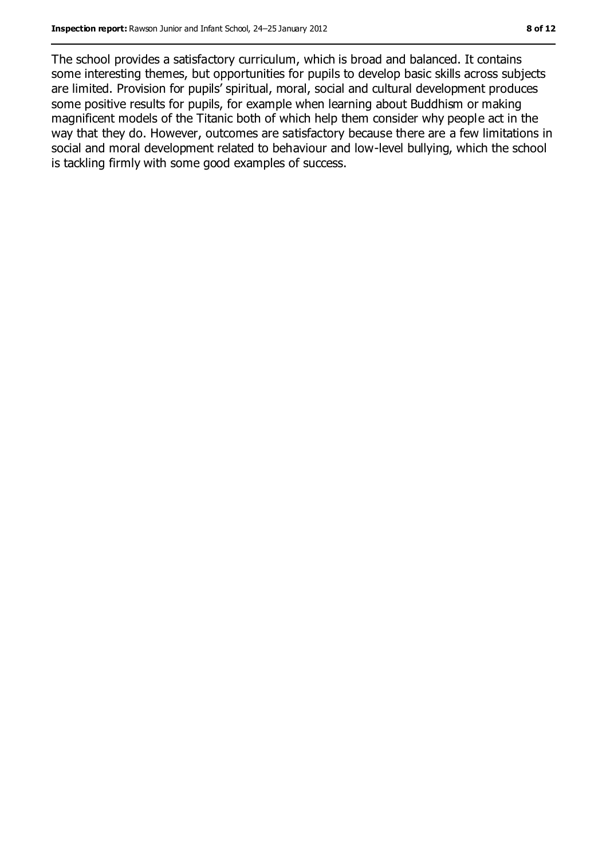The school provides a satisfactory curriculum, which is broad and balanced. It contains some interesting themes, but opportunities for pupils to develop basic skills across subjects are limited. Provision for pupils' spiritual, moral, social and cultural development produces some positive results for pupils, for example when learning about Buddhism or making magnificent models of the Titanic both of which help them consider why people act in the way that they do. However, outcomes are satisfactory because there are a few limitations in social and moral development related to behaviour and low-level bullying, which the school is tackling firmly with some good examples of success.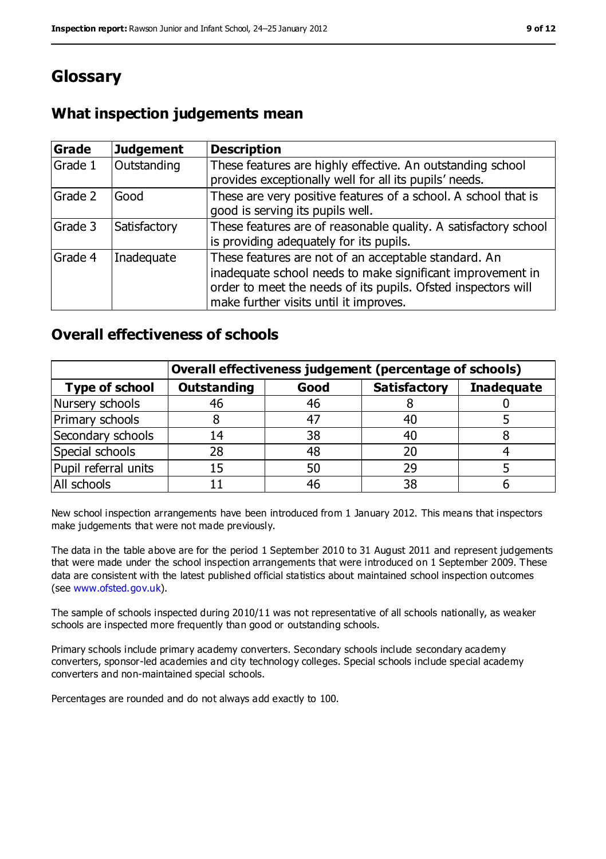# **Glossary**

### **What inspection judgements mean**

| <b>Grade</b> | <b>Judgement</b> | <b>Description</b>                                                                                                                                                                                                            |
|--------------|------------------|-------------------------------------------------------------------------------------------------------------------------------------------------------------------------------------------------------------------------------|
| Grade 1      | Outstanding      | These features are highly effective. An outstanding school<br>provides exceptionally well for all its pupils' needs.                                                                                                          |
| Grade 2      | Good             | These are very positive features of a school. A school that is<br>good is serving its pupils well.                                                                                                                            |
| Grade 3      | Satisfactory     | These features are of reasonable quality. A satisfactory school<br>is providing adequately for its pupils.                                                                                                                    |
| Grade 4      | Inadequate       | These features are not of an acceptable standard. An<br>inadequate school needs to make significant improvement in<br>order to meet the needs of its pupils. Ofsted inspectors will<br>make further visits until it improves. |

### **Overall effectiveness of schools**

|                       | Overall effectiveness judgement (percentage of schools) |      |                     |                   |
|-----------------------|---------------------------------------------------------|------|---------------------|-------------------|
| <b>Type of school</b> | <b>Outstanding</b>                                      | Good | <b>Satisfactory</b> | <b>Inadequate</b> |
| Nursery schools       | 46                                                      | 46   |                     |                   |
| Primary schools       |                                                         | 47   | 40                  |                   |
| Secondary schools     | 14                                                      | 38   | 40                  |                   |
| Special schools       | 28                                                      | 48   | 20                  |                   |
| Pupil referral units  | 15                                                      | 50   | 29                  |                   |
| All schools           |                                                         | 46   | 38                  |                   |

New school inspection arrangements have been introduced from 1 January 2012. This means that inspectors make judgements that were not made previously.

The data in the table above are for the period 1 September 2010 to 31 August 2011 and represent judgements that were made under the school inspection arrangements that were introduced on 1 September 2009. These data are consistent with the latest published official statistics about maintained school inspection outcomes (see [www.ofsted.gov.uk\)](../../../Local%20Settings/Local%20Settings/Temporary%20Internet%20Files/Content.IE5/OJQWDTPP/www.ofsted.gov.uk).

The sample of schools inspected during 2010/11 was not representative of all schools nationally, as weaker schools are inspected more frequently than good or outstanding schools.

Primary schools include primary academy converters. Secondary schools include secondary academy converters, sponsor-led academies and city technology colleges. Special schools include special academy converters and non-maintained special schools.

Percentages are rounded and do not always add exactly to 100.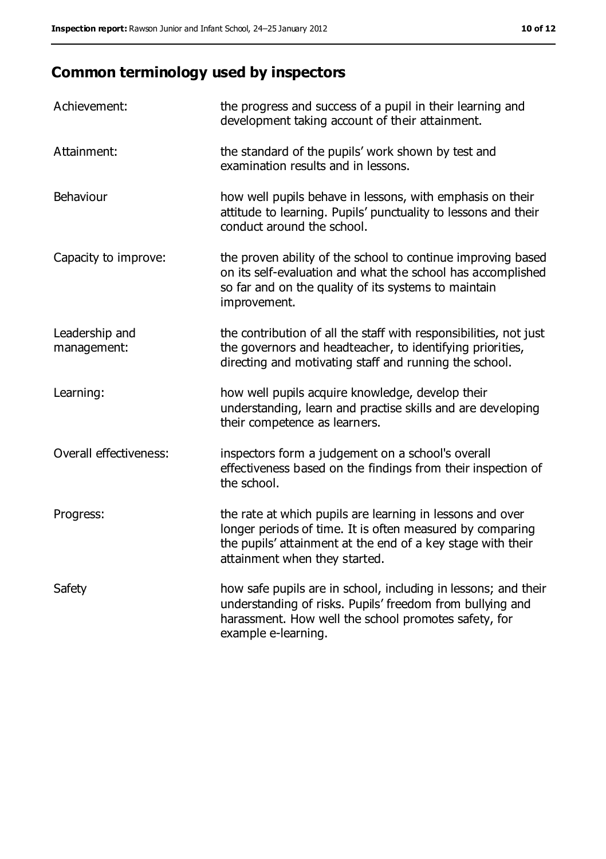# **Common terminology used by inspectors**

| Achievement:                  | the progress and success of a pupil in their learning and<br>development taking account of their attainment.                                                                                                           |
|-------------------------------|------------------------------------------------------------------------------------------------------------------------------------------------------------------------------------------------------------------------|
| Attainment:                   | the standard of the pupils' work shown by test and<br>examination results and in lessons.                                                                                                                              |
| Behaviour                     | how well pupils behave in lessons, with emphasis on their<br>attitude to learning. Pupils' punctuality to lessons and their<br>conduct around the school.                                                              |
| Capacity to improve:          | the proven ability of the school to continue improving based<br>on its self-evaluation and what the school has accomplished<br>so far and on the quality of its systems to maintain<br>improvement.                    |
| Leadership and<br>management: | the contribution of all the staff with responsibilities, not just<br>the governors and headteacher, to identifying priorities,<br>directing and motivating staff and running the school.                               |
| Learning:                     | how well pupils acquire knowledge, develop their<br>understanding, learn and practise skills and are developing<br>their competence as learners.                                                                       |
| Overall effectiveness:        | inspectors form a judgement on a school's overall<br>effectiveness based on the findings from their inspection of<br>the school.                                                                                       |
| Progress:                     | the rate at which pupils are learning in lessons and over<br>longer periods of time. It is often measured by comparing<br>the pupils' attainment at the end of a key stage with their<br>attainment when they started. |
| Safety                        | how safe pupils are in school, including in lessons; and their<br>understanding of risks. Pupils' freedom from bullying and<br>harassment. How well the school promotes safety, for<br>example e-learning.             |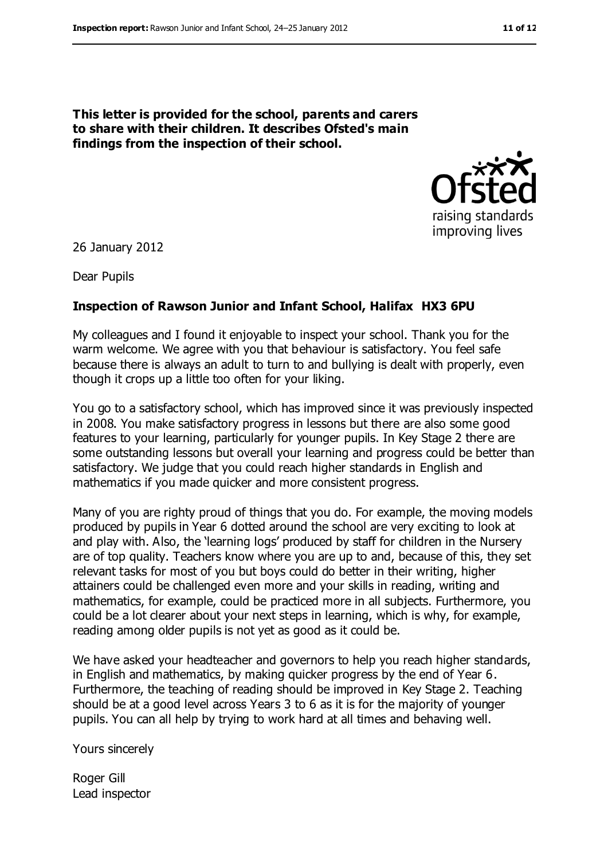**This letter is provided for the school, parents and carers to share with their children. It describes Ofsted's main findings from the inspection of their school.**



26 January 2012

Dear Pupils

#### **Inspection of Rawson Junior and Infant School, Halifax HX3 6PU**

My colleagues and I found it enjoyable to inspect your school. Thank you for the warm welcome. We agree with you that behaviour is satisfactory. You feel safe because there is always an adult to turn to and bullying is dealt with properly, even though it crops up a little too often for your liking.

You go to a satisfactory school, which has improved since it was previously inspected in 2008. You make satisfactory progress in lessons but there are also some good features to your learning, particularly for younger pupils. In Key Stage 2 there are some outstanding lessons but overall your learning and progress could be better than satisfactory. We judge that you could reach higher standards in English and mathematics if you made quicker and more consistent progress.

Many of you are righty proud of things that you do. For example, the moving models produced by pupils in Year 6 dotted around the school are very exciting to look at and play with. Also, the 'learning logs' produced by staff for children in the Nursery are of top quality. Teachers know where you are up to and, because of this, they set relevant tasks for most of you but boys could do better in their writing, higher attainers could be challenged even more and your skills in reading, writing and mathematics, for example, could be practiced more in all subjects. Furthermore, you could be a lot clearer about your next steps in learning, which is why, for example, reading among older pupils is not yet as good as it could be.

We have asked your headteacher and governors to help you reach higher standards, in English and mathematics, by making quicker progress by the end of Year 6. Furthermore, the teaching of reading should be improved in Key Stage 2. Teaching should be at a good level across Years 3 to 6 as it is for the majority of younger pupils. You can all help by trying to work hard at all times and behaving well.

Yours sincerely

Roger Gill Lead inspector